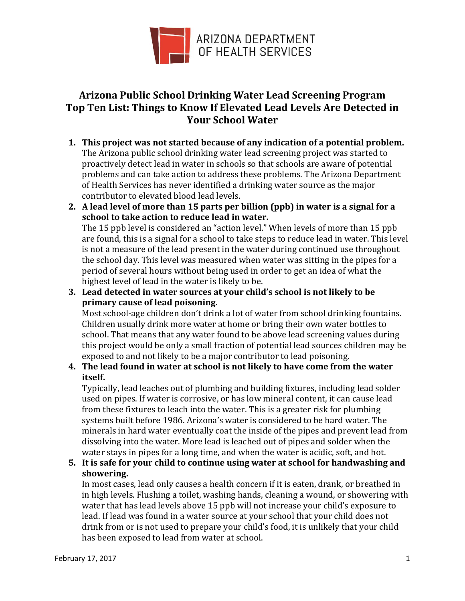

## **Arizona Public School Drinking Water Lead Screening Program Top Ten List: Things to Know If Elevated Lead Levels Are Detected in Your School Water**

- **1. This project was not started because of any indication of a potential problem.** The Arizona public school drinking water lead screening project was started to proactively detect lead in water in schools so that schools are aware of potential problems and can take action to address these problems. The Arizona Department of Health Services has never identified a drinking water source as the major contributor to elevated blood lead levels.
- **2. A lead level of more than 15 parts per billion (ppb) in water is a signal for a school to take action to reduce lead in water.**  The 15 ppb level is considered an "action level." When levels of more than 15 ppb

are found, this is a signal for a school to take steps to reduce lead in water. This level is not a measure of the lead present in the water during continued use throughout the school day. This level was measured when water was sitting in the pipes for a period of several hours without being used in order to get an idea of what the highest level of lead in the water is likely to be.

**3. Lead detected in water sources at your child's school is not likely to be primary cause of lead poisoning.** 

Most school-age children don't drink a lot of water from school drinking fountains. Children usually drink more water at home or bring their own water bottles to school. That means that any water found to be above lead screening values during this project would be only a small fraction of potential lead sources children may be exposed to and not likely to be a major contributor to lead poisoning.

## **4. The lead found in water at school is not likely to have come from the water itself.**

Typically, lead leaches out of plumbing and building fixtures, including lead solder used on pipes. If water is corrosive, or has low mineral content, it can cause lead from these fixtures to leach into the water. This is a greater risk for plumbing systems built before 1986. Arizona's water is considered to be hard water. The minerals in hard water eventually coat the inside of the pipes and prevent lead from dissolving into the water. More lead is leached out of pipes and solder when the water stays in pipes for a long time, and when the water is acidic, soft, and hot.

**5. It is safe for your child to continue using water at school for handwashing and showering.** 

In most cases, lead only causes a health concern if it is eaten, drank, or breathed in in high levels. Flushing a toilet, washing hands, cleaning a wound, or showering with water that has lead levels above 15 ppb will not increase your child's exposure to lead. If lead was found in a water source at your school that your child does not drink from or is not used to prepare your child's food, it is unlikely that your child has been exposed to lead from water at school.